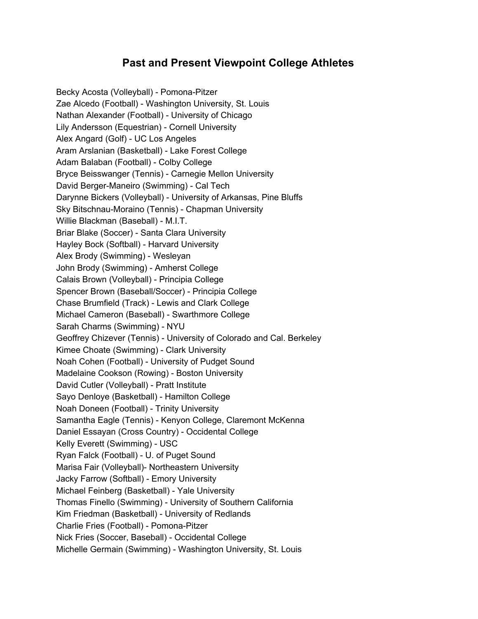## **Past and Present Viewpoint College Athletes**

Becky Acosta (Volleyball) - Pomona-Pitzer Zae Alcedo (Football) - Washington University, St. Louis Nathan Alexander (Football) - University of Chicago Lily Andersson (Equestrian) - Cornell University Alex Angard (Golf) - UC Los Angeles Aram Arslanian (Basketball) - Lake Forest College Adam Balaban (Football) - Colby College Bryce Beisswanger (Tennis) - Carnegie Mellon University David Berger-Maneiro (Swimming) - Cal Tech Darynne Bickers (Volleyball) - University of Arkansas, Pine Bluffs Sky Bitschnau-Moraino (Tennis) - Chapman University Willie Blackman (Baseball) - M.I.T. Briar Blake (Soccer) - Santa Clara University Hayley Bock (Softball) - Harvard University Alex Brody (Swimming) - Wesleyan John Brody (Swimming) - Amherst College Calais Brown (Volleyball) - Principia College Spencer Brown (Baseball/Soccer) - Principia College Chase Brumfield (Track) - Lewis and Clark College Michael Cameron (Baseball) - Swarthmore College Sarah Charms (Swimming) - NYU Geoffrey Chizever (Tennis) - University of Colorado and Cal. Berkeley Kimee Choate (Swimming) - Clark University Noah Cohen (Football) - University of Pudget Sound Madelaine Cookson (Rowing) - Boston University David Cutler (Volleyball) - Pratt Institute Sayo Denloye (Basketball) - Hamilton College Noah Doneen (Football) - Trinity University Samantha Eagle (Tennis) - Kenyon College, Claremont McKenna Daniel Essayan (Cross Country) - Occidental College Kelly Everett (Swimming) - USC Ryan Falck (Football) - U. of Puget Sound Marisa Fair (Volleyball)- Northeastern University Jacky Farrow (Softball) - Emory University Michael Feinberg (Basketball) - Yale University Thomas Finello (Swimming) - University of Southern California Kim Friedman (Basketball) - University of Redlands Charlie Fries (Football) - Pomona-Pitzer Nick Fries (Soccer, Baseball) - Occidental College Michelle Germain (Swimming) - Washington University, St. Louis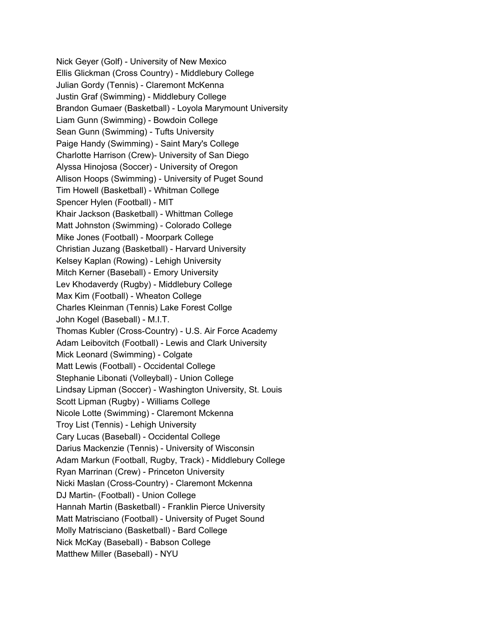Nick Geyer (Golf) - University of New Mexico Ellis Glickman (Cross Country) - Middlebury College Julian Gordy (Tennis) - Claremont McKenna Justin Graf (Swimming) - Middlebury College Brandon Gumaer (Basketball) - Loyola Marymount University Liam Gunn (Swimming) - Bowdoin College Sean Gunn (Swimming) - Tufts University Paige Handy (Swimming) - Saint Mary's College Charlotte Harrison (Crew)- University of San Diego Alyssa Hinojosa (Soccer) - University of Oregon Allison Hoops (Swimming) - University of Puget Sound Tim Howell (Basketball) - Whitman College Spencer Hylen (Football) - MIT Khair Jackson (Basketball) - Whittman College Matt Johnston (Swimming) - Colorado College Mike Jones (Football) - Moorpark College Christian Juzang (Basketball) - Harvard University Kelsey Kaplan (Rowing) - Lehigh University Mitch Kerner (Baseball) - Emory University Lev Khodaverdy (Rugby) - Middlebury College Max Kim (Football) - Wheaton College Charles Kleinman (Tennis) Lake Forest Collge John Kogel (Baseball) - M.I.T. Thomas Kubler (Cross-Country) - U.S. Air Force Academy Adam Leibovitch (Football) - Lewis and Clark University Mick Leonard (Swimming) - Colgate Matt Lewis (Football) - Occidental College Stephanie Libonati (Volleyball) - Union College Lindsay Lipman (Soccer) - Washington University, St. Louis Scott Lipman (Rugby) - Williams College Nicole Lotte (Swimming) - Claremont Mckenna Troy List (Tennis) - Lehigh University Cary Lucas (Baseball) - Occidental College Darius Mackenzie (Tennis) - University of Wisconsin Adam Markun (Football, Rugby, Track) - Middlebury College Ryan Marrinan (Crew) - Princeton University Nicki Maslan (Cross-Country) - Claremont Mckenna DJ Martin- (Football) - Union College Hannah Martin (Basketball) - Franklin Pierce University Matt Matrisciano (Football) - University of Puget Sound Molly Matrisciano (Basketball) - Bard College Nick McKay (Baseball) - Babson College Matthew Miller (Baseball) - NYU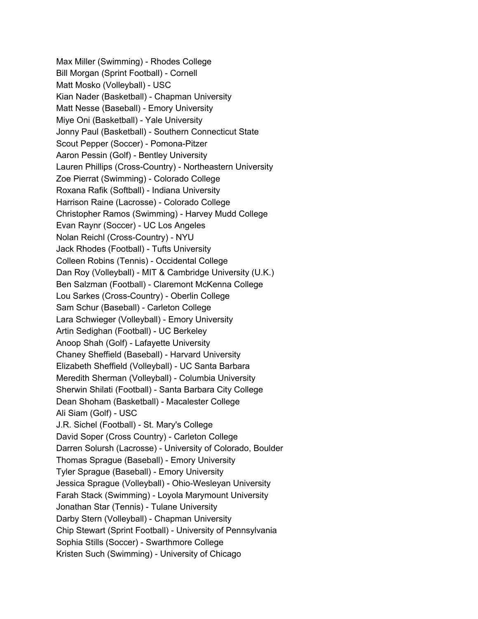Max Miller (Swimming) - Rhodes College Bill Morgan (Sprint Football) - Cornell Matt Mosko (Volleyball) - USC Kian Nader (Basketball) - Chapman University Matt Nesse (Baseball) - Emory University Miye Oni (Basketball) - Yale University Jonny Paul (Basketball) - Southern Connecticut State Scout Pepper (Soccer) - Pomona-Pitzer Aaron Pessin (Golf) - Bentley University Lauren Phillips (Cross-Country) - Northeastern University Zoe Pierrat (Swimming) - Colorado College Roxana Rafik (Softball) - Indiana University Harrison Raine (Lacrosse) - Colorado College Christopher Ramos (Swimming) - Harvey Mudd College Evan Raynr (Soccer) - UC Los Angeles Nolan Reichl (Cross-Country) - NYU Jack Rhodes (Football) - Tufts University Colleen Robins (Tennis) - Occidental College Dan Roy (Volleyball) - MIT & Cambridge University (U.K.) Ben Salzman (Football) - Claremont McKenna College Lou Sarkes (Cross-Country) - Oberlin College Sam Schur (Baseball) - Carleton College Lara Schwieger (Volleyball) - Emory University Artin Sedighan (Football) - UC Berkeley Anoop Shah (Golf) - Lafayette University Chaney Sheffield (Baseball) - Harvard University Elizabeth Sheffield (Volleyball) - UC Santa Barbara Meredith Sherman (Volleyball) - Columbia University Sherwin Shilati (Football) - Santa Barbara City College Dean Shoham (Basketball) - Macalester College Ali Siam (Golf) - USC J.R. Sichel (Football) - St. Mary's College David Soper (Cross Country) - Carleton College Darren Solursh (Lacrosse) - University of Colorado, Boulder Thomas Sprague (Baseball) - Emory University Tyler Sprague (Baseball) - Emory University Jessica Sprague (Volleyball) - Ohio-Wesleyan University Farah Stack (Swimming) - Loyola Marymount University Jonathan Star (Tennis) - Tulane University Darby Stern (Volleyball) - Chapman University Chip Stewart (Sprint Football) - University of Pennsylvania Sophia Stills (Soccer) - Swarthmore College Kristen Such (Swimming) - University of Chicago